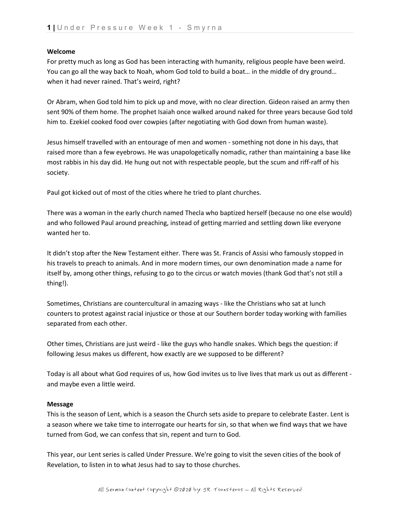### **Welcome**

For pretty much as long as God has been interacting with humanity, religious people have been weird. You can go all the way back to Noah, whom God told to build a boat… in the middle of dry ground… when it had never rained. That's weird, right?

Or Abram, when God told him to pick up and move, with no clear direction. Gideon raised an army then sent 90% of them home. The prophet Isaiah once walked around naked for three years because God told him to. Ezekiel cooked food over cowpies (after negotiating with God down from human waste).

Jesus himself travelled with an entourage of men and women - something not done in his days, that raised more than a few eyebrows. He was unapologetically nomadic, rather than maintaining a base like most rabbis in his day did. He hung out not with respectable people, but the scum and riff-raff of his society.

Paul got kicked out of most of the cities where he tried to plant churches.

There was a woman in the early church named Thecla who baptized herself (because no one else would) and who followed Paul around preaching, instead of getting married and settling down like everyone wanted her to.

It didn't stop after the New Testament either. There was St. Francis of Assisi who famously stopped in his travels to preach to animals. And in more modern times, our own denomination made a name for itself by, among other things, refusing to go to the circus or watch movies (thank God that's not still a thing!).

Sometimes, Christians are countercultural in amazing ways - like the Christians who sat at lunch counters to protest against racial injustice or those at our Southern border today working with families separated from each other.

Other times, Christians are just weird - like the guys who handle snakes. Which begs the question: if following Jesus makes us different, how exactly are we supposed to be different?

Today is all about what God requires of us, how God invites us to live lives that mark us out as different and maybe even a little weird.

### **Message**

This is the season of Lent, which is a season the Church sets aside to prepare to celebrate Easter. Lent is a season where we take time to interrogate our hearts for sin, so that when we find ways that we have turned from God, we can confess that sin, repent and turn to God.

This year, our Lent series is called Under Pressure. We're going to visit the seven cities of the book of Revelation, to listen in to what Jesus had to say to those churches.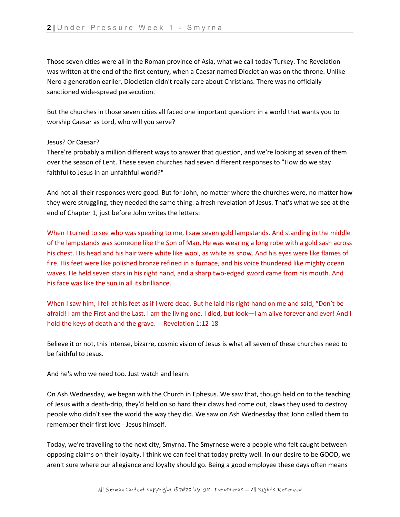Those seven cities were all in the Roman province of Asia, what we call today Turkey. The Revelation was written at the end of the first century, when a Caesar named Diocletian was on the throne. Unlike Nero a generation earlier, Diocletian didn't really care about Christians. There was no officially sanctioned wide-spread persecution.

But the churches in those seven cities all faced one important question: in a world that wants you to worship Caesar as Lord, who will you serve?

## Jesus? Or Caesar?

There're probably a million different ways to answer that question, and we're looking at seven of them over the season of Lent. These seven churches had seven different responses to "How do we stay faithful to Jesus in an unfaithful world?"

And not all their responses were good. But for John, no matter where the churches were, no matter how they were struggling, they needed the same thing: a fresh revelation of Jesus. That's what we see at the end of Chapter 1, just before John writes the letters:

When I turned to see who was speaking to me, I saw seven gold lampstands. And standing in the middle of the lampstands was someone like the Son of Man. He was wearing a long robe with a gold sash across his chest. His head and his hair were white like wool, as white as snow. And his eyes were like flames of fire. His feet were like polished bronze refined in a furnace, and his voice thundered like mighty ocean waves. He held seven stars in his right hand, and a sharp two-edged sword came from his mouth. And his face was like the sun in all its brilliance.

When I saw him, I fell at his feet as if I were dead. But he laid his right hand on me and said, "Don't be afraid! I am the First and the Last. I am the living one. I died, but look—I am alive forever and ever! And I hold the keys of death and the grave. -- Revelation 1:12-18

Believe it or not, this intense, bizarre, cosmic vision of Jesus is what all seven of these churches need to be faithful to Jesus.

And he's who we need too. Just watch and learn.

On Ash Wednesday, we began with the Church in Ephesus. We saw that, though held on to the teaching of Jesus with a death-drip, they'd held on so hard their claws had come out, claws they used to destroy people who didn't see the world the way they did. We saw on Ash Wednesday that John called them to remember their first love - Jesus himself.

Today, we're travelling to the next city, Smyrna. The Smyrnese were a people who felt caught between opposing claims on their loyalty. I think we can feel that today pretty well. In our desire to be GOOD, we aren't sure where our allegiance and loyalty should go. Being a good employee these days often means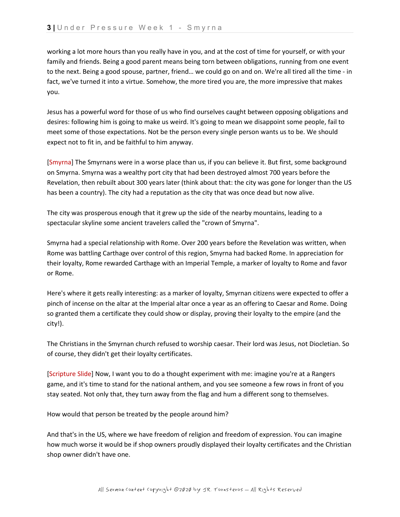working a lot more hours than you really have in you, and at the cost of time for yourself, or with your family and friends. Being a good parent means being torn between obligations, running from one event to the next. Being a good spouse, partner, friend… we could go on and on. We're all tired all the time - in fact, we've turned it into a virtue. Somehow, the more tired you are, the more impressive that makes you.

Jesus has a powerful word for those of us who find ourselves caught between opposing obligations and desires: following him is going to make us weird. It's going to mean we disappoint some people, fail to meet some of those expectations. Not be the person every single person wants us to be. We should expect not to fit in, and be faithful to him anyway.

[Smyrna] The Smyrnans were in a worse place than us, if you can believe it. But first, some background on Smyrna. Smyrna was a wealthy port city that had been destroyed almost 700 years before the Revelation, then rebuilt about 300 years later (think about that: the city was gone for longer than the US has been a country). The city had a reputation as the city that was once dead but now alive.

The city was prosperous enough that it grew up the side of the nearby mountains, leading to a spectacular skyline some ancient travelers called the "crown of Smyrna".

Smyrna had a special relationship with Rome. Over 200 years before the Revelation was written, when Rome was battling Carthage over control of this region, Smyrna had backed Rome. In appreciation for their loyalty, Rome rewarded Carthage with an Imperial Temple, a marker of loyalty to Rome and favor or Rome.

Here's where it gets really interesting: as a marker of loyalty, Smyrnan citizens were expected to offer a pinch of incense on the altar at the Imperial altar once a year as an offering to Caesar and Rome. Doing so granted them a certificate they could show or display, proving their loyalty to the empire (and the city!).

The Christians in the Smyrnan church refused to worship caesar. Their lord was Jesus, not Diocletian. So of course, they didn't get their loyalty certificates.

[Scripture Slide] Now, I want you to do a thought experiment with me: imagine you're at a Rangers game, and it's time to stand for the national anthem, and you see someone a few rows in front of you stay seated. Not only that, they turn away from the flag and hum a different song to themselves.

How would that person be treated by the people around him?

And that's in the US, where we have freedom of religion and freedom of expression. You can imagine how much worse it would be if shop owners proudly displayed their loyalty certificates and the Christian shop owner didn't have one.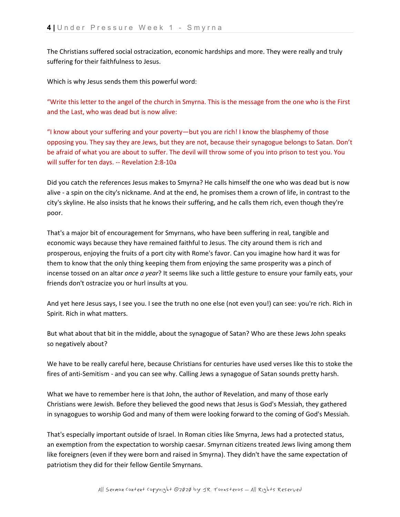The Christians suffered social ostracization, economic hardships and more. They were really and truly suffering for their faithfulness to Jesus.

Which is why Jesus sends them this powerful word:

"Write this letter to the angel of the church in Smyrna. This is the message from the one who is the First and the Last, who was dead but is now alive:

"I know about your suffering and your poverty—but you are rich! I know the blasphemy of those opposing you. They say they are Jews, but they are not, because their synagogue belongs to Satan. Don't be afraid of what you are about to suffer. The devil will throw some of you into prison to test you. You will suffer for ten days. -- Revelation 2:8-10a

Did you catch the references Jesus makes to Smyrna? He calls himself the one who was dead but is now alive - a spin on the city's nickname. And at the end, he promises them a crown of life, in contrast to the city's skyline. He also insists that he knows their suffering, and he calls them rich, even though they're poor.

That's a major bit of encouragement for Smyrnans, who have been suffering in real, tangible and economic ways because they have remained faithful to Jesus. The city around them is rich and prosperous, enjoying the fruits of a port city with Rome's favor. Can you imagine how hard it was for them to know that the only thing keeping them from enjoying the same prosperity was a pinch of incense tossed on an altar *once a year*? It seems like such a little gesture to ensure your family eats, your friends don't ostracize you or hurl insults at you.

And yet here Jesus says, I see you. I see the truth no one else (not even you!) can see: you're rich. Rich in Spirit. Rich in what matters.

But what about that bit in the middle, about the synagogue of Satan? Who are these Jews John speaks so negatively about?

We have to be really careful here, because Christians for centuries have used verses like this to stoke the fires of anti-Semitism - and you can see why. Calling Jews a synagogue of Satan sounds pretty harsh.

What we have to remember here is that John, the author of Revelation, and many of those early Christians were Jewish. Before they believed the good news that Jesus is God's Messiah, they gathered in synagogues to worship God and many of them were looking forward to the coming of God's Messiah.

That's especially important outside of Israel. In Roman cities like Smyrna, Jews had a protected status, an exemption from the expectation to worship caesar. Smyrnan citizens treated Jews living among them like foreigners (even if they were born and raised in Smyrna). They didn't have the same expectation of patriotism they did for their fellow Gentile Smyrnans.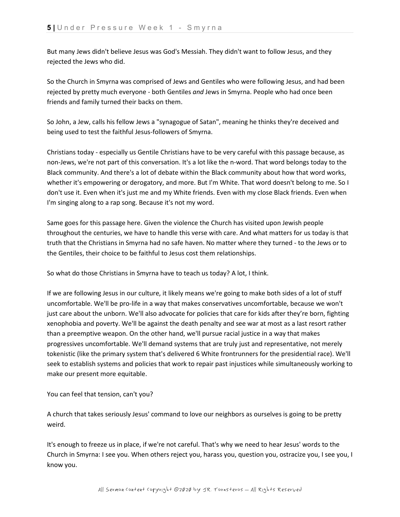But many Jews didn't believe Jesus was God's Messiah. They didn't want to follow Jesus, and they rejected the Jews who did.

So the Church in Smyrna was comprised of Jews and Gentiles who were following Jesus, and had been rejected by pretty much everyone - both Gentiles *and* Jews in Smyrna. People who had once been friends and family turned their backs on them.

So John, a Jew, calls his fellow Jews a "synagogue of Satan", meaning he thinks they're deceived and being used to test the faithful Jesus-followers of Smyrna.

Christians today - especially us Gentile Christians have to be very careful with this passage because, as non-Jews, we're not part of this conversation. It's a lot like the n-word. That word belongs today to the Black community. And there's a lot of debate within the Black community about how that word works, whether it's empowering or derogatory, and more. But I'm White. That word doesn't belong to me. So I don't use it. Even when it's just me and my White friends. Even with my close Black friends. Even when I'm singing along to a rap song. Because it's not my word.

Same goes for this passage here. Given the violence the Church has visited upon Jewish people throughout the centuries, we have to handle this verse with care. And what matters for us today is that truth that the Christians in Smyrna had no safe haven. No matter where they turned - to the Jews or to the Gentiles, their choice to be faithful to Jesus cost them relationships.

So what do those Christians in Smyrna have to teach us today? A lot, I think.

If we are following Jesus in our culture, it likely means we're going to make both sides of a lot of stuff uncomfortable. We'll be pro-life in a way that makes conservatives uncomfortable, because we won't just care about the unborn. We'll also advocate for policies that care for kids after they're born, fighting xenophobia and poverty. We'll be against the death penalty and see war at most as a last resort rather than a preemptive weapon. On the other hand, we'll pursue racial justice in a way that makes progressives uncomfortable. We'll demand systems that are truly just and representative, not merely tokenistic (like the primary system that's delivered 6 White frontrunners for the presidential race). We'll seek to establish systems and policies that work to repair past injustices while simultaneously working to make our present more equitable.

You can feel that tension, can't you?

A church that takes seriously Jesus' command to love our neighbors as ourselves is going to be pretty weird.

It's enough to freeze us in place, if we're not careful. That's why we need to hear Jesus' words to the Church in Smyrna: I see you. When others reject you, harass you, question you, ostracize you, I see you, I know you.